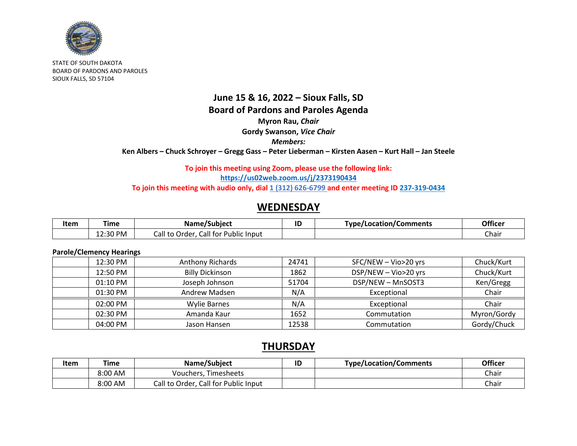

STATE OF SOUTH DAKOTA BOARD OF PARDONS AND PAROLES SIOUX FALLS, SD 57104

## **June 15 & 16, 2022 – Sioux Falls, SD Board of Pardons and Paroles Agenda Myron Rau,** *Chair* **Gordy Swanson,** *Vice Chair Members:* **Ken Albers – Chuck Schroyer – Gregg Gass – Peter Lieberman – Kirsten Aasen – Kurt Hall – Jan Steele**

### **To join this meeting using Zoom, please use the following link: <https://us02web.zoom.us/j/2373190434>** To join this meeting with audio only, dial 1 (312) 626-6799 and enter meeting ID 237-319-0434

# **WEDNESDAY**

| Item | ⊺ime                 | . .<br>Name/Subject                            | ID | <b>Type/Location/C</b><br>'Comments | Officer |
|------|----------------------|------------------------------------------------|----|-------------------------------------|---------|
|      | :30 PM<br>-<br>12.JU | call for '<br>all tcث<br>'ublic Input<br>Order |    |                                     | Chair   |

#### **Parole/Clemency Hearings**

| $12:30$ PM | <b>Anthony Richards</b> | 24741 | SFC/NEW - Vio>20 yrs | Chuck/Kurt  |
|------------|-------------------------|-------|----------------------|-------------|
| 12:50 PM   | <b>Billy Dickinson</b>  | 1862  | DSP/NEW - Vio>20 yrs | Chuck/Kurt  |
| 01:10 PM   | Joseph Johnson          | 51704 | DSP/NEW - MnSOST3    | Ken/Gregg   |
| 01:30 PM   | Andrew Madsen           | N/A   | Exceptional          | Chair       |
| $02:00$ PM | Wylie Barnes            | N/A   | Exceptional          | Chair       |
| 02:30 PM   | Amanda Kaur             | 1652  | Commutation          | Myron/Gordy |
| 04:00 PM   | Jason Hansen            | 12538 | Commutation          | Gordy/Chuck |

## **THURSDAY**

| Item | Time    | Name/Subject                         | ID | Type/Location/Comments | <b>Officer</b> |
|------|---------|--------------------------------------|----|------------------------|----------------|
|      | 8:00 AM | <b>Timesheets</b><br>Vouchers.       |    |                        | Chair          |
|      | 8:00 AM | Call to Order, Call for Public Input |    |                        | Chair          |